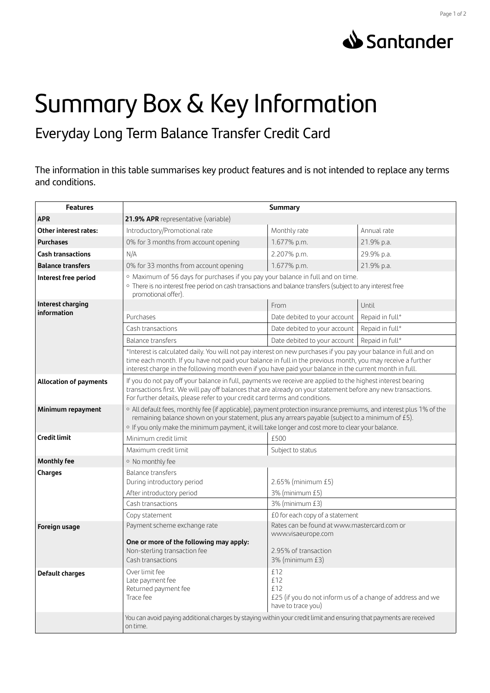



## Summary Box & Key Information

Everyday Long Term Balance Transfer Credit Card

The information in this table summarises key product features and is not intended to replace any terms and conditions.

| <b>Features</b>                  | <b>Summary</b>                                                                                                                                                                                                                                                                                                                             |                                                                                                       |                 |
|----------------------------------|--------------------------------------------------------------------------------------------------------------------------------------------------------------------------------------------------------------------------------------------------------------------------------------------------------------------------------------------|-------------------------------------------------------------------------------------------------------|-----------------|
| <b>APR</b>                       | 21.9% APR representative (variable)                                                                                                                                                                                                                                                                                                        |                                                                                                       |                 |
| Other interest rates:            | Introductory/Promotional rate                                                                                                                                                                                                                                                                                                              | Monthly rate                                                                                          | Annual rate     |
| <b>Purchases</b>                 | 0% for 3 months from account opening                                                                                                                                                                                                                                                                                                       | 1.677% p.m.                                                                                           | 21.9% p.a.      |
| <b>Cash transactions</b>         | N/A                                                                                                                                                                                                                                                                                                                                        | 2.207% p.m.                                                                                           | 29.9% p.a.      |
| <b>Balance transfers</b>         | 0% for 33 months from account opening                                                                                                                                                                                                                                                                                                      | 1.677% p.m.                                                                                           | 21.9% p.a.      |
| Interest free period             | · Maximum of 56 days for purchases if you pay your balance in full and on time.<br>· There is no interest free period on cash transactions and balance transfers (subject to any interest free<br>promotional offer).                                                                                                                      |                                                                                                       |                 |
| Interest charging<br>information |                                                                                                                                                                                                                                                                                                                                            | From                                                                                                  | Until           |
|                                  | Purchases                                                                                                                                                                                                                                                                                                                                  | Date debited to your account                                                                          | Repaid in full* |
|                                  | Cash transactions                                                                                                                                                                                                                                                                                                                          | Date debited to your account                                                                          | Repaid in full* |
|                                  | Balance transfers                                                                                                                                                                                                                                                                                                                          | Date debited to your account                                                                          | Repaid in full* |
|                                  | *Interest is calculated daily. You will not pay interest on new purchases if you pay your balance in full and on<br>time each month. If you have not paid your balance in full in the previous month, you may receive a further<br>interest charge in the following month even if you have paid your balance in the current month in full. |                                                                                                       |                 |
| <b>Allocation of payments</b>    | If you do not pay off your balance in full, payments we receive are applied to the highest interest bearing<br>transactions first. We will pay off balances that are already on your statement before any new transactions.<br>For further details, please refer to your credit card terms and conditions.                                 |                                                                                                       |                 |
| Minimum repayment                | o All default fees, monthly fee (if applicable), payment protection insurance premiums, and interest plus 1% of the<br>remaining balance shown on your statement, plus any arrears payable (subject to a minimum of £5).<br>o If you only make the minimum payment, it will take longer and cost more to clear your balance.               |                                                                                                       |                 |
| <b>Credit limit</b>              | Minimum credit limit                                                                                                                                                                                                                                                                                                                       | £500                                                                                                  |                 |
|                                  | Maximum credit limit                                                                                                                                                                                                                                                                                                                       | Subject to status                                                                                     |                 |
| <b>Monthly fee</b>               | · No monthly fee                                                                                                                                                                                                                                                                                                                           |                                                                                                       |                 |
| Charges                          | <b>Balance transfers</b>                                                                                                                                                                                                                                                                                                                   |                                                                                                       |                 |
|                                  | During introductory period                                                                                                                                                                                                                                                                                                                 | 2.65% (minimum £5)                                                                                    |                 |
|                                  | After introductory period                                                                                                                                                                                                                                                                                                                  | 3% (minimum £5)                                                                                       |                 |
|                                  | Cash transactions                                                                                                                                                                                                                                                                                                                          | 3% (minimum £3)                                                                                       |                 |
|                                  | Copy statement                                                                                                                                                                                                                                                                                                                             | £0 for each copy of a statement                                                                       |                 |
| Foreign usage                    | Payment scheme exchange rate                                                                                                                                                                                                                                                                                                               | Rates can be found at www.mastercard.com or                                                           |                 |
|                                  | One or more of the following may apply:<br>Non-sterling transaction fee<br>Cash transactions                                                                                                                                                                                                                                               | www.visaeurope.com<br>2.95% of transaction<br>3% (minimum £3)                                         |                 |
| Default charges                  | Over limit fee<br>Late payment fee<br>Returned payment fee<br>Trace fee                                                                                                                                                                                                                                                                    | £12<br>£12<br>£12<br>£25 (if you do not inform us of a change of address and we<br>have to trace you) |                 |
|                                  | You can avoid paying additional charges by staying within your credit limit and ensuring that payments are received<br>on time.                                                                                                                                                                                                            |                                                                                                       |                 |